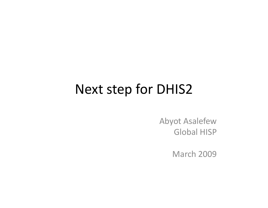#### Next step for DHIS2

Abyot Asalefew Global HISP

March 2009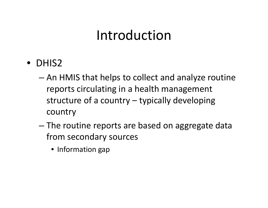### Introduction

- DHIS2
	- – An HMIS that helps to collect and analyze routine reports circulating in <sup>a</sup> health management structure of <sup>a</sup> country – typically developing country
	- – The routine reports are based on aggregate data from secondary sources
		- Information gap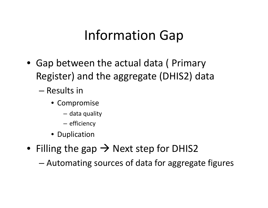### Information Gap

- Gap between the actual data ( Primary Register) and the aggregate (DHIS2) data
	- Results in
		- Compromise
			- data quality
			- efficiency
		- Duplication
- Filling the gap  $\rightarrow$  Next step for DHIS2

Automating sources of data for aggregate figures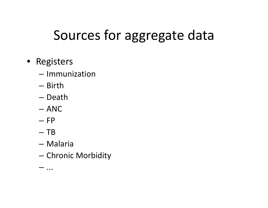# Sources for aggregate data

- Registers
	- Immunization
	- Birth
	- Death
	- ANC
	- FP
	- TB
	- Malaria
	- –Chronic Morbidity

–...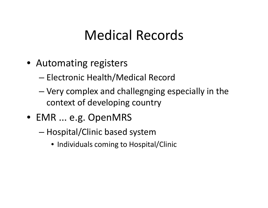### **Medical Records**

- Automating registers
	- Electronic Health/Medical Record
	- Very complex and challegnging especially in the context of developing country
- EMR ... e.g. OpenMRS
	- Hospital/Clinic based system
		- Individuals coming to Hospital/Clinic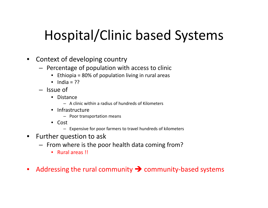# Hospital/Clinic based Systems

- $\bullet$  Context of developing country
	- Percentage of population with access to clinic
		- Ethiopia <sup>=</sup> 80% of population living in rural areas
		- India <sup>=</sup> ??
	- Issue of
		- Distance
			- A clinic within <sup>a</sup> radius of hundreds of Kilometers
		- Infrastructure
			- Poor transportation means
		- Cost
			- Expensive for poor farmers to travel hundreds of kilometers
- $\bullet$  Further question to ask
	- $-$  From where is the poor health data coming from?
		- Rural areas !!
- $\bullet$ Addressing the rural community  $\rightarrow$  community-based systems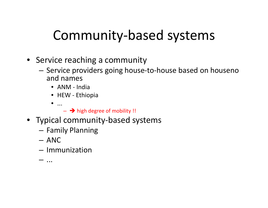### Community‐based systems

- Service reaching <sup>a</sup> community
	- Service providers going house-to-house based on houseno and names
		- ANM ‐ India
		- HEW ‐ Ethiopia
		- •...
			- $\rightarrow$  high degree of mobility !!
- Typical community-based systems
	- $-$  Family Planning
	- ANC
	- Immunization
	- ...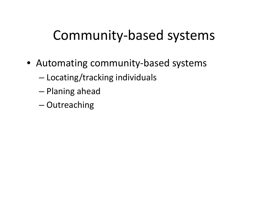### Community‐based systems

- Automating community-based systems
	- –Locating/tracking individuals
	- –Planing ahead
	- Outreaching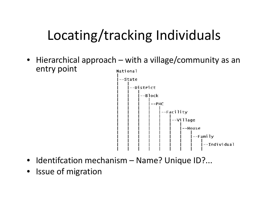# Locating/tracking Individuals

• Hierarchical approach – with a village/community as an entry point National



- Identifcation mechanism Name? Unique ID?...
- Issue of migration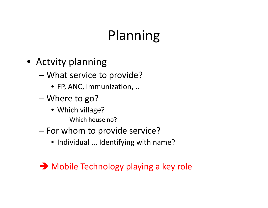### Planning

- Actvity planning
	- What service to provide?
		- FP, ANC, Immunization, ..
	- – Where to go?
		- Which village?
			- Which house no?
	- For whom to provide service?
		- Individual ... Identifying with name?

→ Mobile Technology playing a key role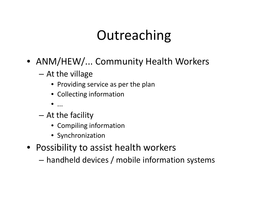### Outreaching

- ANM/HEW/... Community Health Workers
	- At the village
		- Providing service as per the plan
		- Collecting information
		- $\bullet$  ...
	- $-$  At the facility
		- Compiling information
		- Synchronization
- Possibility to assist health workers
	- handheld devices / mobile information systems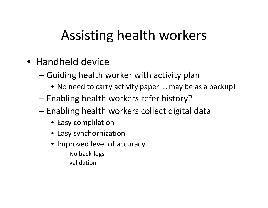### Assisting health workers

- Handheld device
	- Guiding health worker with activity plan
		- No need to carry activity paper ... may be as <sup>a</sup> backup!
	- – $-$  Enabling health workers refer history?
	- – $-$  Enabling health workers collect digital data
		- Easy complilation
		- Easy synchornization
		- Improved level of accuracy
			- No back‐logs
			- validation